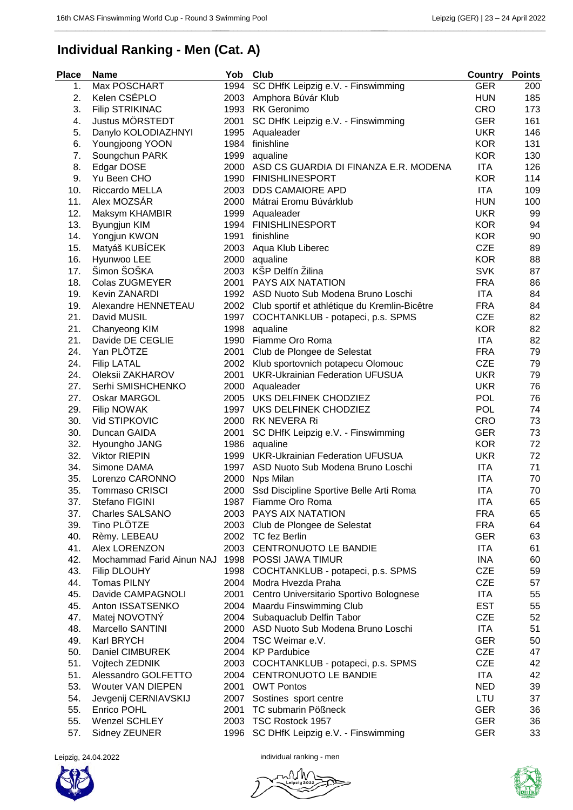\_\_\_\_\_\_\_\_\_\_\_\_\_\_\_\_\_\_\_\_\_\_\_\_\_\_\_\_\_\_\_\_\_\_\_\_\_\_\_\_\_\_\_\_\_\_\_\_\_\_\_\_\_\_\_\_\_\_\_\_\_\_\_\_\_\_\_\_\_\_\_\_\_\_\_\_\_\_\_\_

\_\_\_\_\_\_\_\_\_\_\_\_\_\_\_\_\_\_\_\_\_\_\_\_\_\_\_\_\_\_\_\_\_\_\_\_\_\_\_\_\_\_

## **Individual Ranking - Men (Cat. A)**

| <b>Place</b> | Name                      | Yob  | Club                                               | <b>Country</b> | <b>Points</b> |
|--------------|---------------------------|------|----------------------------------------------------|----------------|---------------|
| 1.           | Max POSCHART              | 1994 | SC DHfK Leipzig e.V. - Finswimming                 | <b>GER</b>     | 200           |
| 2.           | Kelen CSÉPLO              | 2003 | Amphora Búvár Klub                                 | <b>HUN</b>     | 185           |
| 3.           | <b>Filip STRIKINAC</b>    | 1993 | <b>RK</b> Geronimo                                 | <b>CRO</b>     | 173           |
| 4.           | Justus MÖRSTEDT           | 2001 | SC DHfK Leipzig e.V. - Finswimming                 | <b>GER</b>     | 161           |
| 5.           | Danylo KOLODIAZHNYI       | 1995 | Aqualeader                                         | <b>UKR</b>     | 146           |
| 6.           | Youngjoong YOON           | 1984 | finishline                                         | <b>KOR</b>     | 131           |
| 7.           | Soungchun PARK            | 1999 | aqualine                                           | <b>KOR</b>     | 130           |
| 8.           | Edgar DOSE                | 2000 | ASD CS GUARDIA DI FINANZA E.R. MODENA              | <b>ITA</b>     | 126           |
| 9.           | Yu Been CHO               | 1990 | <b>FINISHLINESPORT</b>                             | <b>KOR</b>     | 114           |
| 10.          | Riccardo MELLA            | 2003 | <b>DDS CAMAIORE APD</b>                            | <b>ITA</b>     | 109           |
| 11.          | Alex MOZSÁR               | 2000 | Mátrai Eromu Búvárklub                             | <b>HUN</b>     | 100           |
| 12.          | Maksym KHAMBIR            |      | 1999 Aqualeader                                    | <b>UKR</b>     | 99            |
| 13.          | Byungjun KIM              | 1994 | <b>FINISHLINESPORT</b>                             | <b>KOR</b>     | 94            |
| 14.          | Yongjun KWON              | 1991 | finishline                                         | <b>KOR</b>     | 90            |
| 15.          | Matyáš KUBÍCEK            | 2003 | Aqua Klub Liberec                                  | <b>CZE</b>     | 89            |
| 16.          | Hyunwoo LEE               | 2000 | aqualine                                           | <b>KOR</b>     | 88            |
| 17.          | Šimon ŠOŠKA               | 2003 | KŠP Delfín Žilina                                  | <b>SVK</b>     | 87            |
| 18.          | <b>Colas ZUGMEYER</b>     | 2001 | PAYS AIX NATATION                                  | <b>FRA</b>     | 86            |
| 19.          | Kevin ZANARDI             |      | 1992 ASD Nuoto Sub Modena Bruno Loschi             | ITA            | 84            |
| 19.          | Alexandre HENNETEAU       |      | 2002 Club sportif et athlétique du Kremlin-Bicêtre | <b>FRA</b>     | 84            |
| 21.          | David MUSIL               | 1997 | COCHTANKLUB - potapeci, p.s. SPMS                  | <b>CZE</b>     | 82            |
| 21.          | Chanyeong KIM             | 1998 | aqualine                                           | <b>KOR</b>     | 82            |
| 21.          | Davide DE CEGLIE          | 1990 | Fiamme Oro Roma                                    | <b>ITA</b>     | 82            |
| 24.          | Yan PLÖTZE                | 2001 | Club de Plongee de Selestat                        | <b>FRA</b>     | 79            |
| 24.          | <b>Filip LATAL</b>        | 2002 | Klub sportovnich potapecu Olomouc                  | <b>CZE</b>     | 79            |
| 24.          | Oleksii ZAKHAROV          | 2001 | <b>UKR-Ukrainian Federation UFUSUA</b>             | <b>UKR</b>     | 79            |
| 27.          | Serhi SMISHCHENKO         |      | 2000 Aqualeader                                    | <b>UKR</b>     | 76            |
| 27.          | Oskar MARGOL              |      | 2005 UKS DELFINEK CHODZIEZ                         | <b>POL</b>     | 76            |
| 29.          | <b>Filip NOWAK</b>        |      | 1997 UKS DELFINEK CHODZIEZ                         | <b>POL</b>     | 74            |
| 30.          | Vid STIPKOVIC             |      | 2000 RK NEVERA Ri                                  | <b>CRO</b>     | 73            |
| 30.          | Duncan GAIDA              | 2001 | SC DHfK Leipzig e.V. - Finswimming                 | <b>GER</b>     | 73            |
| 32.          | Hyoungho JANG             | 1986 | aqualine                                           | <b>KOR</b>     | 72            |
| 32.          | <b>Viktor RIEPIN</b>      | 1999 | <b>UKR-Ukrainian Federation UFUSUA</b>             | <b>UKR</b>     | 72            |
| 34.          | Simone DAMA               | 1997 | ASD Nuoto Sub Modena Bruno Loschi                  | <b>ITA</b>     | 71            |
| 35.          | Lorenzo CARONNO           | 2000 | Nps Milan                                          | <b>ITA</b>     | 70            |
| 35.          | <b>Tommaso CRISCI</b>     | 2000 | Ssd Discipline Sportive Belle Arti Roma            | ITA            | 70            |
| 37.          | Stefano FIGINI            | 1987 | Fiamme Oro Roma                                    | <b>ITA</b>     | 65            |
| 37.          | <b>Charles SALSANO</b>    |      | 2003 PAYS AIX NATATION                             | <b>FRA</b>     | 65            |
| 39.          | Tino PLÖTZE               |      | 2003 Club de Plongee de Selestat                   | <b>FRA</b>     | 64            |
| 40.          | Rèmy. LEBEAU              |      | 2002 TC fez Berlin                                 | <b>GER</b>     | 63            |
| 41.          | Alex LORENZON             |      | 2003 CENTRONUOTO LE BANDIE                         | ITA            | 61            |
| 42.          | Mochammad Farid Ainun NAJ |      | 1998 POSSI JAWA TIMUR                              | <b>INA</b>     | 60            |
| 43.          | <b>Filip DLOUHY</b>       |      | 1998 COCHTANKLUB - potapeci, p.s. SPMS             | <b>CZE</b>     | 59            |
| 44.          | <b>Tomas PILNY</b>        |      | 2004 Modra Hvezda Praha                            | <b>CZE</b>     | 57            |
| 45.          | Davide CAMPAGNOLI         |      | 2001 Centro Universitario Sportivo Bolognese       | ITA            | 55            |
| 45.          | Anton ISSATSENKO          |      | 2004 Maardu Finswimming Club                       | <b>EST</b>     | 55            |
| 47.          | Matej NOVOTNÝ             |      | 2004 Subaquaclub Delfin Tabor                      | <b>CZE</b>     | 52            |
| 48.          | Marcello SANTINI          |      | 2000 ASD Nuoto Sub Modena Bruno Loschi             | ITA            | 51            |
| 49.          | Karl BRYCH                |      | 2004 TSC Weimar e.V.                               | <b>GER</b>     | 50            |
| 50.          | Daniel CIMBUREK           |      | 2004 KP Pardubice                                  | <b>CZE</b>     | 47            |
| 51.          | Vojtech ZEDNIK            |      | 2003 COCHTANKLUB - potapeci, p.s. SPMS             | <b>CZE</b>     | 42            |
| 51.          | Alessandro GOLFETTO       |      | 2004 CENTRONUOTO LE BANDIE                         | ITA            | 42            |
| 53.          | Wouter VAN DIEPEN         |      | 2001 OWT Pontos                                    | <b>NED</b>     | 39            |
| 54.          | Jevgenij CERNIAVSKIJ      |      | 2007 Sostines sport centre                         | LTU            | 37            |
| 55.          | Enrico POHL               |      | 2001 TC submarin Pößneck                           | <b>GER</b>     | 36            |
| 55.          | <b>Wenzel SCHLEY</b>      |      | 2003 TSC Rostock 1957                              | <b>GER</b>     | 36            |
| 57.          | Sidney ZEUNER             |      | 1996 SC DHfK Leipzig e.V. - Finswimming            | <b>GER</b>     | 33            |



Leipzig, 24.04.2022 **individual ranking - men**